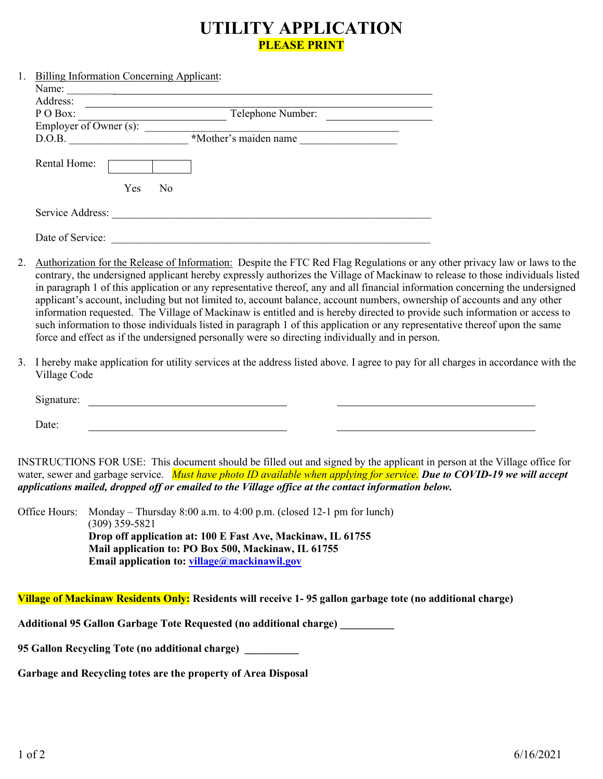# **UTILITY APPLICATION PLEASE PRINT**

| 1. | <b>Billing Information Concerning Applicant:</b> |                       |  |  |  |  |
|----|--------------------------------------------------|-----------------------|--|--|--|--|
|    | Name:                                            |                       |  |  |  |  |
|    | Address:                                         |                       |  |  |  |  |
|    | P O Box:                                         | Telephone Number:     |  |  |  |  |
|    | Employer of Owner $(s)$ :                        |                       |  |  |  |  |
|    | D.O.B.                                           | *Mother's maiden name |  |  |  |  |
|    | Rental Home:                                     |                       |  |  |  |  |
|    | Yes                                              | N <sub>0</sub>        |  |  |  |  |
|    | Service Address:                                 |                       |  |  |  |  |
|    |                                                  |                       |  |  |  |  |
|    | Date of Service:                                 |                       |  |  |  |  |

- 2. Authorization for the Release of Information: Despite the FTC Red Flag Regulations or any other privacy law or laws to the contrary, the undersigned applicant hereby expressly authorizes the Village of Mackinaw to release to those individuals listed in paragraph 1 of this application or any representative thereof, any and all financial information concerning the undersigned applicant's account, including but not limited to, account balance, account numbers, ownership of accounts and any other information requested. The Village of Mackinaw is entitled and is hereby directed to provide such information or access to such information to those individuals listed in paragraph 1 of this application or any representative thereof upon the same force and effect as if the undersigned personally were so directing individually and in person.
- 3. I hereby make application for utility services at the address listed above. I agree to pay for all charges in accordance with the Village Code

| $\sim$ $\cdot$<br>U,<br>. . |  |  |  |
|-----------------------------|--|--|--|
|                             |  |  |  |

INSTRUCTIONS FOR USE: This document should be filled out and signed by the applicant in person at the Village office for water, sewer and garbage service. *Must have photo ID available when applying for service. Due to COVID-19 we will accept applications mailed, dropped off or emailed to the Village office at the contact information below.*

Office Hours: Monday – Thursday 8:00 a.m. to 4:00 p.m. (closed 12-1 pm for lunch) (309) 359-5821 **Drop off application at: 100 E Fast Ave, Mackinaw, IL 61755 Mail application to: PO Box 500, Mackinaw, IL 61755 Email application to: [village@mackinawil.gov](mailto:village@mackinawil.gov)**

**Village of Mackinaw Residents Only: Residents will receive 1- 95 gallon garbage tote (no additional charge)**

**Additional 95 Gallon Garbage Tote Requested (no additional charge) \_\_\_\_\_\_\_\_\_\_**

**95 Gallon Recycling Tote (no additional charge) \_\_\_\_\_\_\_\_\_\_**

**Garbage and Recycling totes are the property of Area Disposal** 

Date: